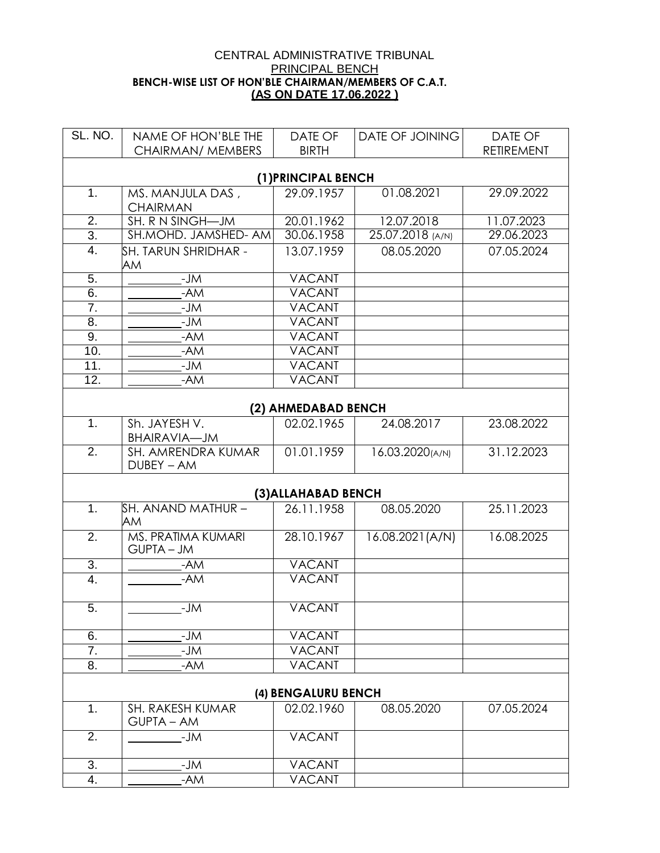## CENTRAL ADMINISTRATIVE TRIBUNAL PRINCIPAL BENCH **BENCH-WISE LIST OF HON'BLE CHAIRMAN/MEMBERS OF C.A.T. (AS ON DATE 17.06.2022 )**

| SL. NO.                          | NAME OF HON'BLE THE                 | DATE OF                           | DATE OF JOINING  | DATE OF           |  |  |
|----------------------------------|-------------------------------------|-----------------------------------|------------------|-------------------|--|--|
|                                  | CHAIRMAN/ MEMBERS                   | <b>BIRTH</b>                      |                  | <b>RETIREMENT</b> |  |  |
| (1) PRINCIPAL BENCH              |                                     |                                   |                  |                   |  |  |
| 1.                               | MS. MANJULA DAS,<br><b>CHAIRMAN</b> | 29.09.1957                        | 01.08.2021       | 29.09.2022        |  |  |
| $\overline{2}$ .                 | SH. R N SINGH-JM                    | 20.01.1962<br>12.07.2018          |                  | 11.07.2023        |  |  |
| $\overline{3}$ .                 | SH.MOHD. JAMSHED- AM                | 30.06.1958                        | 25.07.2018 (A/N) | 29.06.2023        |  |  |
| 4.<br>SH. TARUN SHRIDHAR -<br>AM |                                     | 13.07.1959                        | 08.05.2020       | 07.05.2024        |  |  |
| $\overline{5}$ .                 | $-JM$                               | <b>VACANT</b>                     |                  |                   |  |  |
| 6.                               | $-AM$                               | <b>VACANT</b>                     |                  |                   |  |  |
| 7.                               | $-JM$                               | <b>VACANT</b>                     |                  |                   |  |  |
| 8.                               | $-JM$                               | <b>VACANT</b>                     |                  |                   |  |  |
| 9.                               | -AM                                 | <b>VACANT</b>                     |                  |                   |  |  |
| 10.                              | -AM                                 | <b>VACANT</b>                     |                  |                   |  |  |
| 11.                              | $-\overline{JM}$                    | <b>VACANT</b>                     |                  |                   |  |  |
| $\overline{12}$ .                | -AM                                 | <b>VACANT</b>                     |                  |                   |  |  |
| (2) AHMEDABAD BENCH              |                                     |                                   |                  |                   |  |  |
| 1 <sub>1</sub>                   | Sh. JAYESH V.                       | 02.02.1965                        | 24.08.2017       | 23.08.2022        |  |  |
|                                  | <b>BHAIRAVIA-JM</b>                 |                                   |                  |                   |  |  |
| $\overline{2}$ .                 | SH. AMRENDRA KUMAR<br>DUBEY - AM    | 01.01.1959                        | 16.03.2020(A/N)  | 31.12.2023        |  |  |
| (3) ALLAHABAD BENCH              |                                     |                                   |                  |                   |  |  |
| 1.                               | SH. ANAND MATHUR –<br>AM            | 26.11.1958                        | 08.05.2020       | 25.11.2023        |  |  |
| $\overline{2}$ .                 | MS. PRATIMA KUMARI<br>GUPTA - JM    | 28.10.1967                        | 16.08.2021(A/N)  | 16.08.2025        |  |  |
| $\overline{3}$ .                 | -AM                                 | <b>VACANT</b>                     |                  |                   |  |  |
| 4.                               | $-AM$                               | <b>VACANT</b>                     |                  |                   |  |  |
| 5.                               | -JM                                 | <b>VACANT</b>                     |                  |                   |  |  |
| 6.                               | -JM                                 | <b>VACANT</b>                     |                  |                   |  |  |
| 7.                               | -JM                                 | <b>VACANT</b>                     |                  |                   |  |  |
| 8.                               | -AM                                 | <b>VACANT</b>                     |                  |                   |  |  |
|                                  |                                     |                                   |                  |                   |  |  |
| 1.                               | SH. RAKESH KUMAR                    | (4) BENGALURU BENCH<br>02.02.1960 | 08.05.2020       | 07.05.2024        |  |  |
|                                  | GUPTA - AM                          |                                   |                  |                   |  |  |
| 2.                               | $-JM$                               | <b>VACANT</b>                     |                  |                   |  |  |
| 3.                               | $-JM$                               | <b>VACANT</b>                     |                  |                   |  |  |
| 4.                               | -AM                                 | <b>VACANT</b>                     |                  |                   |  |  |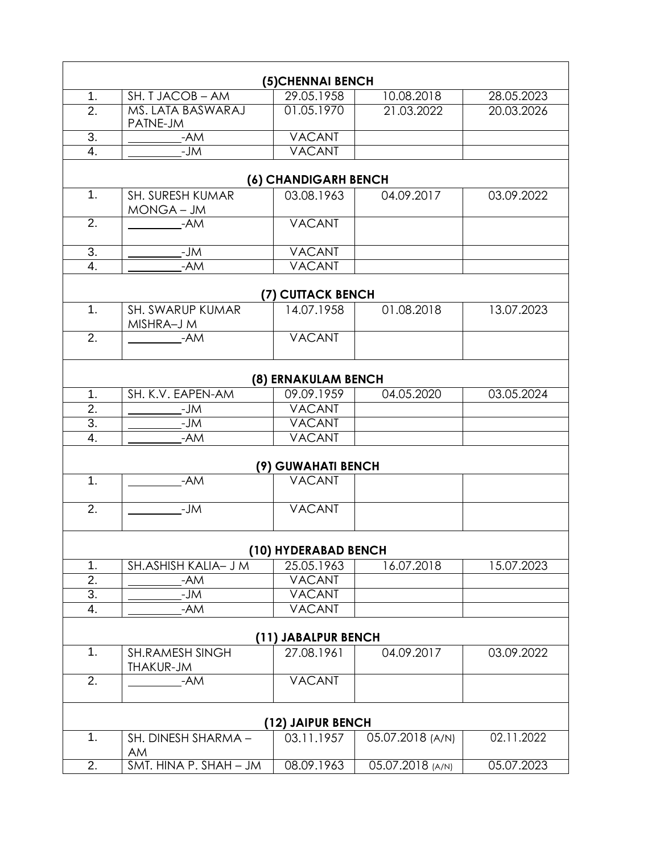| (5) CHENNAI BENCH   |                                              |                      |                  |            |  |  |
|---------------------|----------------------------------------------|----------------------|------------------|------------|--|--|
| 1.                  | SH. T JACOB - AM<br>10.08.2018<br>29.05.1958 |                      | 28.05.2023       |            |  |  |
| 2.                  | MS. LATA BASWARAJ<br>PATNE-JM                | 01.05.1970           | 21.03.2022       | 20.03.2026 |  |  |
| 3.                  | -AM                                          | <b>VACANT</b>        |                  |            |  |  |
| 4.                  | $-JM$                                        | <b>VACANT</b>        |                  |            |  |  |
|                     | (6) CHANDIGARH BENCH                         |                      |                  |            |  |  |
| 1.                  | <b>SH. SURESH KUMAR</b>                      | 03.08.1963           | 04.09.2017       | 03.09.2022 |  |  |
|                     | MONGA - JM                                   |                      |                  |            |  |  |
| 2.                  | $-AM$                                        | <b>VACANT</b>        |                  |            |  |  |
| 3.                  | $-JM$                                        | <b>VACANT</b>        |                  |            |  |  |
| 4.                  | $-AM$                                        | <b>VACANT</b>        |                  |            |  |  |
| (7) CUTTACK BENCH   |                                              |                      |                  |            |  |  |
| 1.                  | SH. SWARUP KUMAR<br>MISHRA-J M               | 14.07.1958           | 01.08.2018       | 13.07.2023 |  |  |
| $\overline{2}$ .    | $-AM$                                        | <b>VACANT</b>        |                  |            |  |  |
|                     |                                              | (8) ERNAKULAM BENCH  |                  |            |  |  |
| 1.                  | SH. K.V. EAPEN-AM                            | 09.09.1959           | 04.05.2020       | 03.05.2024 |  |  |
| $\overline{2}$ .    | $-JM$                                        | <b>VACANT</b>        |                  |            |  |  |
| $\overline{3}$ .    | $-ML$                                        | <b>VACANT</b>        |                  |            |  |  |
| 4.                  | -AM                                          | <b>VACANT</b>        |                  |            |  |  |
| (9) GUWAHATI BENCH  |                                              |                      |                  |            |  |  |
| 1.                  | -AM                                          | <b>VACANT</b>        |                  |            |  |  |
| 2.                  | $-JM$                                        | <b>VACANT</b>        |                  |            |  |  |
|                     |                                              | (10) HYDERABAD BENCH |                  |            |  |  |
| 1.                  | SH. ASHISH KALIA- J M                        | 25.05.1963           | 16.07.2018       | 15.07.2023 |  |  |
| $\overline{2}$ .    | -AM                                          | <b>VACANT</b>        |                  |            |  |  |
| $\overline{3}$ .    | -JM                                          | <b>VACANT</b>        |                  |            |  |  |
| 4.                  | -AM                                          | <b>VACANT</b>        |                  |            |  |  |
| (11) JABALPUR BENCH |                                              |                      |                  |            |  |  |
| 1.                  | <b>SH.RAMESH SINGH</b><br>THAKUR-JM          | 27.08.1961           | 04.09.2017       | 03.09.2022 |  |  |
| 2.                  | $-AM$                                        | <b>VACANT</b>        |                  |            |  |  |
|                     | (12) JAIPUR BENCH                            |                      |                  |            |  |  |
| 1.                  | SH. DINESH SHARMA -<br>AM                    | 03.11.1957           | 05.07.2018 (A/N) | 02.11.2022 |  |  |
| $\overline{2}$ .    | SMT. HINA P. SHAH - JM                       | 08.09.1963           | 05.07.2018 (A/N) | 05.07.2023 |  |  |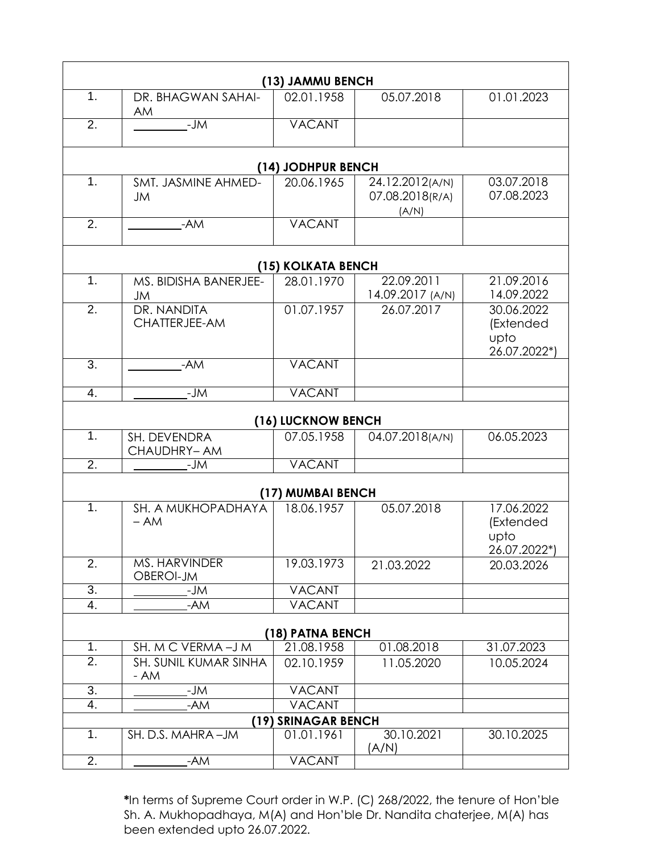| (13) JAMMU BENCH   |                                   |                     |                                             |                                                 |  |  |
|--------------------|-----------------------------------|---------------------|---------------------------------------------|-------------------------------------------------|--|--|
| 1.                 | DR. BHAGWAN SAHAI-<br>AM          | 02.01.1958          | 05.07.2018                                  | 01.01.2023                                      |  |  |
| $\overline{2}$ .   | $-JM$                             | <b>VACANT</b>       |                                             |                                                 |  |  |
|                    | (14) JODHPUR BENCH                |                     |                                             |                                                 |  |  |
| 1.                 | SMT. JASMINE AHMED-<br><b>JM</b>  | 20.06.1965          | 24.12.2012(A/N)<br>07.08.2018(R/A)<br>(A/N) | 03.07.2018<br>07.08.2023                        |  |  |
| 2.                 | $-AM$                             | <b>VACANT</b>       |                                             |                                                 |  |  |
|                    | (15) KOLKATA BENCH                |                     |                                             |                                                 |  |  |
| 1.                 | MS. BIDISHA BANERJEE-<br>JM       | 28.01.1970          | 22.09.2011<br>14.09.2017 (A/N)              | 21.09.2016<br>14.09.2022                        |  |  |
| $\overline{2}$ .   | DR. NANDITA<br>CHATTERJEE-AM      | 01.07.1957          | 26.07.2017                                  | 30.06.2022<br>(Extended<br>upto<br>26.07.2022*) |  |  |
| $\overline{3}$ .   | $-AM$                             | <b>VACANT</b>       |                                             |                                                 |  |  |
| 4.                 | -JM                               | <b>VACANT</b>       |                                             |                                                 |  |  |
| (16) LUCKNOW BENCH |                                   |                     |                                             |                                                 |  |  |
| 1.                 | SH. DEVENDRA<br>CHAUDHRY-AM       | 07.05.1958          | 04.07.2018(A/N)                             | 06.05.2023                                      |  |  |
| $\overline{2}$ .   | -JM                               | <b>VACANT</b>       |                                             |                                                 |  |  |
|                    |                                   | (17) MUMBAI BENCH   |                                             |                                                 |  |  |
| 1.                 | SH. A MUKHOPADHAYA<br>$- AM$      | 18.06.1957          | 05.07.2018                                  | 17.06.2022<br>(Extended<br>upto<br>26.07.2022*) |  |  |
| $\overline{2}$ .   | <b>MS. HARVINDER</b><br>OBEROI-JM | 19.03.1973          | 21.03.2022                                  | 20.03.2026                                      |  |  |
| $\overline{3}$ .   | -JM                               | <b>VACANT</b>       |                                             |                                                 |  |  |
| 4.                 | -AM                               | <b>VACANT</b>       |                                             |                                                 |  |  |
| (18) PATNA BENCH   |                                   |                     |                                             |                                                 |  |  |
| 1 <sub>1</sub>     | SH. M C VERMA-J M                 | 21.08.1958          | 01.08.2018                                  | 31.07.2023                                      |  |  |
| $\overline{2}$ .   | SH. SUNIL KUMAR SINHA<br>- AM     | 02.10.1959          | 11.05.2020                                  | 10.05.2024                                      |  |  |
| 3.                 | -JM                               | <b>VACANT</b>       |                                             |                                                 |  |  |
| $\overline{4}$ .   | $-AM$                             | <b>VACANT</b>       |                                             |                                                 |  |  |
|                    |                                   | (19) SRINAGAR BENCH |                                             |                                                 |  |  |
| 1.                 | SH. D.S. MAHRA-JM                 | 01.01.1961          | 30.10.2021<br>(A/N)                         | 30.10.2025                                      |  |  |
| $\overline{2}$ .   | -AM                               | <b>VACANT</b>       |                                             |                                                 |  |  |

**\***In terms of Supreme Court order in W.P. (C) 268/2022, the tenure of Hon'ble Sh. A. Mukhopadhaya, M(A) and Hon'ble Dr. Nandita chaterjee, M(A) has been extended upto 26.07.2022.